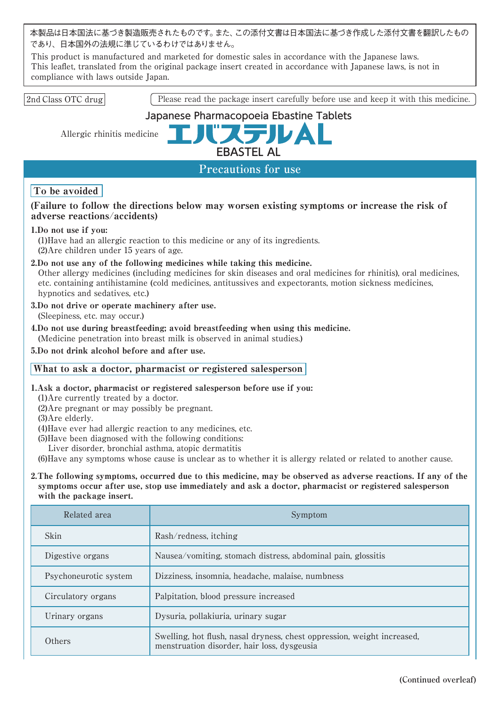本製品は日本国法に基づき製造販売されたものです。また、この添付文書は日本国法に基づき作成した添付文書を翻訳したもの であり、日本国外の法規に準じているわけではありません。

This product is manufactured and marketed for domestic sales in accordance with the Japanese laws. This leaflet, translated from the original package insert created in accordance with Japanese laws, is not in compliance with laws outside Japan.

To be avoided (Failure to follow the directions below may worsen existing symptoms or increase the risk of adverse reactions/accidents) 1.Do not use if you: (1)Have had an allergic reaction to this medicine or any of its ingredients. (2)Are children under 15 years of age. 2.Do not use any of the following medicines while taking this medicine. Other allergy medicines (including medicines for skin diseases and oral medicines for rhinitis), oral medicines, etc. containing antihistamine (cold medicines, antitussives and expectorants, motion sickness medicines, hypnotics and sedatives, etc.) 3.Do not drive or operate machinery after use. (Sleepiness, etc. may occur.) 4.Do not use during breastfeeding; avoid breastfeeding when using this medicine. (Medicine penetration into breast milk is observed in animal studies.) 5.Do not drink alcohol before and after use. What to ask a doctor, pharmacist or registered salesperson 1.Ask a doctor, pharmacist or registered salesperson before use if you: (1)Are currently treated by a doctor. (2)Are pregnant or may possibly be pregnant. (3)Are elderly. (4)Have ever had allergic reaction to any medicines, etc. (5)Have been diagnosed with the following conditions: Liver disorder, bronchial asthma, atopic dermatitis (6)Have any symptoms whose cause is unclear as to whether it is allergy related or related to another cause. 2.The following symptoms, occurred due to this medicine, may be observed as adverse reactions. If any of the symptoms occur after use, stop use immediately and ask a doctor, pharmacist or registered salesperson with the package insert. 2nd Class OTC drug Please read the package insert carefully before use and keep it with this medicine. EBASTEL AL Japanese Pharmacopoeia Ebastine Tablets Allergic rhinitis medicine **Precautions for use**

| Related area          | Symptom                                                                                                                |  |
|-----------------------|------------------------------------------------------------------------------------------------------------------------|--|
| <b>Skin</b>           | Rash/redness, itching                                                                                                  |  |
| Digestive organs      | Nausea/vomiting, stomach distress, abdominal pain, glossitis                                                           |  |
| Psychoneurotic system | Dizziness, insomnia, headache, malaise, numbness                                                                       |  |
| Circulatory organs    | Palpitation, blood pressure increased                                                                                  |  |
| Urinary organs        | Dysuria, pollakiuria, urinary sugar                                                                                    |  |
| Others                | Swelling, hot flush, nasal dryness, chest oppression, weight increased,<br>menstruation disorder, hair loss, dysgeusia |  |